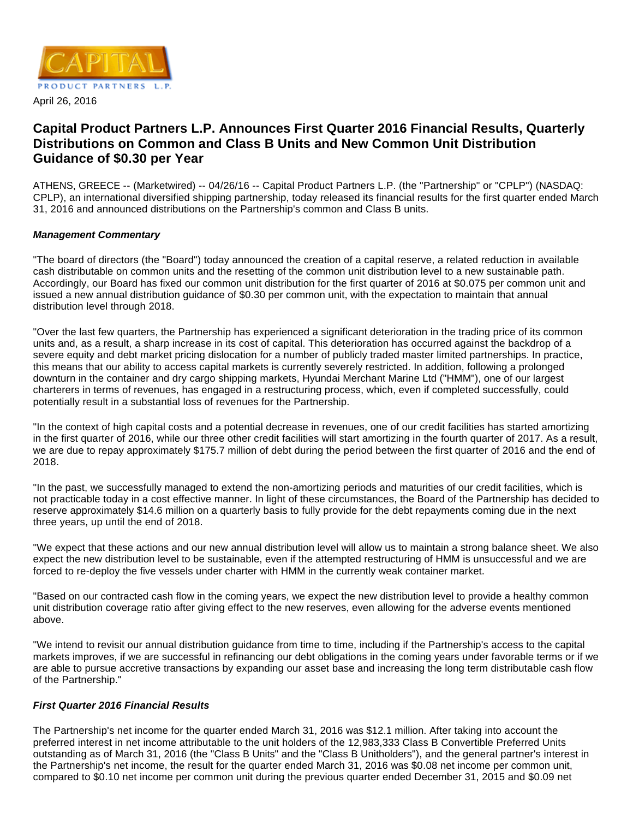

# **Capital Product Partners L.P. Announces First Quarter 2016 Financial Results, Quarterly Distributions on Common and Class B Units and New Common Unit Distribution Guidance of \$0.30 per Year**

ATHENS, GREECE -- (Marketwired) -- 04/26/16 -- Capital Product Partners L.P. (the "Partnership" or "CPLP") (NASDAQ: CPLP), an international diversified shipping partnership, today released its financial results for the first quarter ended March 31, 2016 and announced distributions on the Partnership's common and Class B units.

# **Management Commentary**

"The board of directors (the "Board") today announced the creation of a capital reserve, a related reduction in available cash distributable on common units and the resetting of the common unit distribution level to a new sustainable path. Accordingly, our Board has fixed our common unit distribution for the first quarter of 2016 at \$0.075 per common unit and issued a new annual distribution guidance of \$0.30 per common unit, with the expectation to maintain that annual distribution level through 2018.

"Over the last few quarters, the Partnership has experienced a significant deterioration in the trading price of its common units and, as a result, a sharp increase in its cost of capital. This deterioration has occurred against the backdrop of a severe equity and debt market pricing dislocation for a number of publicly traded master limited partnerships. In practice, this means that our ability to access capital markets is currently severely restricted. In addition, following a prolonged downturn in the container and dry cargo shipping markets, Hyundai Merchant Marine Ltd ("HMM"), one of our largest charterers in terms of revenues, has engaged in a restructuring process, which, even if completed successfully, could potentially result in a substantial loss of revenues for the Partnership.

"In the context of high capital costs and a potential decrease in revenues, one of our credit facilities has started amortizing in the first quarter of 2016, while our three other credit facilities will start amortizing in the fourth quarter of 2017. As a result, we are due to repay approximately \$175.7 million of debt during the period between the first quarter of 2016 and the end of 2018.

"In the past, we successfully managed to extend the non-amortizing periods and maturities of our credit facilities, which is not practicable today in a cost effective manner. In light of these circumstances, the Board of the Partnership has decided to reserve approximately \$14.6 million on a quarterly basis to fully provide for the debt repayments coming due in the next three years, up until the end of 2018.

"We expect that these actions and our new annual distribution level will allow us to maintain a strong balance sheet. We also expect the new distribution level to be sustainable, even if the attempted restructuring of HMM is unsuccessful and we are forced to re-deploy the five vessels under charter with HMM in the currently weak container market.

"Based on our contracted cash flow in the coming years, we expect the new distribution level to provide a healthy common unit distribution coverage ratio after giving effect to the new reserves, even allowing for the adverse events mentioned above.

"We intend to revisit our annual distribution guidance from time to time, including if the Partnership's access to the capital markets improves, if we are successful in refinancing our debt obligations in the coming years under favorable terms or if we are able to pursue accretive transactions by expanding our asset base and increasing the long term distributable cash flow of the Partnership."

### **First Quarter 2016 Financial Results**

The Partnership's net income for the quarter ended March 31, 2016 was \$12.1 million. After taking into account the preferred interest in net income attributable to the unit holders of the 12,983,333 Class B Convertible Preferred Units outstanding as of March 31, 2016 (the "Class B Units" and the "Class B Unitholders"), and the general partner's interest in the Partnership's net income, the result for the quarter ended March 31, 2016 was \$0.08 net income per common unit, compared to \$0.10 net income per common unit during the previous quarter ended December 31, 2015 and \$0.09 net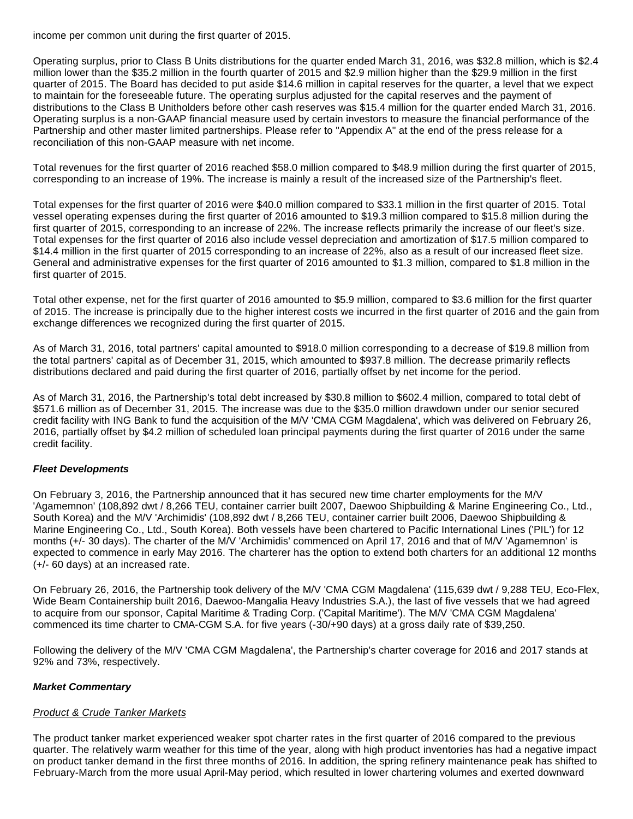income per common unit during the first quarter of 2015.

Operating surplus, prior to Class B Units distributions for the quarter ended March 31, 2016, was \$32.8 million, which is \$2.4 million lower than the \$35.2 million in the fourth quarter of 2015 and \$2.9 million higher than the \$29.9 million in the first quarter of 2015. The Board has decided to put aside \$14.6 million in capital reserves for the quarter, a level that we expect to maintain for the foreseeable future. The operating surplus adjusted for the capital reserves and the payment of distributions to the Class B Unitholders before other cash reserves was \$15.4 million for the quarter ended March 31, 2016. Operating surplus is a non-GAAP financial measure used by certain investors to measure the financial performance of the Partnership and other master limited partnerships. Please refer to "Appendix A" at the end of the press release for a reconciliation of this non-GAAP measure with net income.

Total revenues for the first quarter of 2016 reached \$58.0 million compared to \$48.9 million during the first quarter of 2015, corresponding to an increase of 19%. The increase is mainly a result of the increased size of the Partnership's fleet.

Total expenses for the first quarter of 2016 were \$40.0 million compared to \$33.1 million in the first quarter of 2015. Total vessel operating expenses during the first quarter of 2016 amounted to \$19.3 million compared to \$15.8 million during the first quarter of 2015, corresponding to an increase of 22%. The increase reflects primarily the increase of our fleet's size. Total expenses for the first quarter of 2016 also include vessel depreciation and amortization of \$17.5 million compared to \$14.4 million in the first quarter of 2015 corresponding to an increase of 22%, also as a result of our increased fleet size. General and administrative expenses for the first quarter of 2016 amounted to \$1.3 million, compared to \$1.8 million in the first quarter of 2015.

Total other expense, net for the first quarter of 2016 amounted to \$5.9 million, compared to \$3.6 million for the first quarter of 2015. The increase is principally due to the higher interest costs we incurred in the first quarter of 2016 and the gain from exchange differences we recognized during the first quarter of 2015.

As of March 31, 2016, total partners' capital amounted to \$918.0 million corresponding to a decrease of \$19.8 million from the total partners' capital as of December 31, 2015, which amounted to \$937.8 million. The decrease primarily reflects distributions declared and paid during the first quarter of 2016, partially offset by net income for the period.

As of March 31, 2016, the Partnership's total debt increased by \$30.8 million to \$602.4 million, compared to total debt of \$571.6 million as of December 31, 2015. The increase was due to the \$35.0 million drawdown under our senior secured credit facility with ING Bank to fund the acquisition of the M/V 'CMA CGM Magdalena', which was delivered on February 26, 2016, partially offset by \$4.2 million of scheduled loan principal payments during the first quarter of 2016 under the same credit facility.

#### **Fleet Developments**

On February 3, 2016, the Partnership announced that it has secured new time charter employments for the M/V 'Agamemnon' (108,892 dwt / 8,266 TEU, container carrier built 2007, Daewoo Shipbuilding & Marine Engineering Co., Ltd., South Korea) and the M/V 'Archimidis' (108,892 dwt / 8,266 TEU, container carrier built 2006, Daewoo Shipbuilding & Marine Engineering Co., Ltd., South Korea). Both vessels have been chartered to Pacific International Lines ('PIL') for 12 months (+/- 30 days). The charter of the M/V 'Archimidis' commenced on April 17, 2016 and that of M/V 'Agamemnon' is expected to commence in early May 2016. The charterer has the option to extend both charters for an additional 12 months (+/- 60 days) at an increased rate.

On February 26, 2016, the Partnership took delivery of the M/V 'CMA CGM Magdalena' (115,639 dwt / 9,288 TEU, Eco-Flex, Wide Beam Containership built 2016, Daewoo-Mangalia Heavy Industries S.Α.), the last of five vessels that we had agreed to acquire from our sponsor, Capital Maritime & Trading Corp. ('Capital Maritime'). The M/V 'CMA CGM Magdalena' commenced its time charter to CMA-CGM S.A. for five years (-30/+90 days) at a gross daily rate of \$39,250.

Following the delivery of the M/V 'CMA CGM Magdalena', the Partnership's charter coverage for 2016 and 2017 stands at 92% and 73%, respectively.

#### **Market Commentary**

#### Product & Crude Tanker Markets

The product tanker market experienced weaker spot charter rates in the first quarter of 2016 compared to the previous quarter. The relatively warm weather for this time of the year, along with high product inventories has had a negative impact on product tanker demand in the first three months of 2016. In addition, the spring refinery maintenance peak has shifted to February-March from the more usual April-May period, which resulted in lower chartering volumes and exerted downward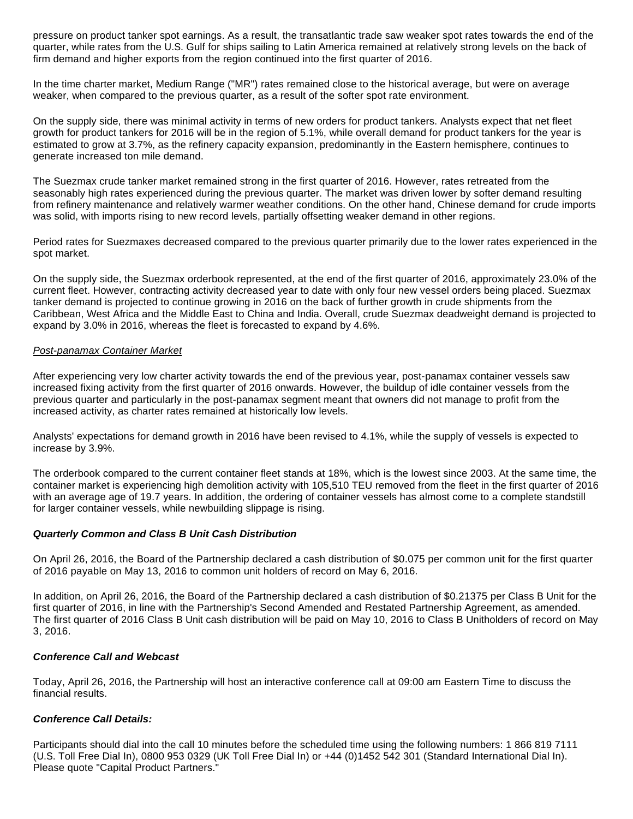pressure on product tanker spot earnings. As a result, the transatlantic trade saw weaker spot rates towards the end of the quarter, while rates from the U.S. Gulf for ships sailing to Latin America remained at relatively strong levels on the back of firm demand and higher exports from the region continued into the first quarter of 2016.

In the time charter market, Medium Range ("MR") rates remained close to the historical average, but were on average weaker, when compared to the previous quarter, as a result of the softer spot rate environment.

On the supply side, there was minimal activity in terms of new orders for product tankers. Analysts expect that net fleet growth for product tankers for 2016 will be in the region of 5.1%, while overall demand for product tankers for the year is estimated to grow at 3.7%, as the refinery capacity expansion, predominantly in the Eastern hemisphere, continues to generate increased ton mile demand.

The Suezmax crude tanker market remained strong in the first quarter of 2016. However, rates retreated from the seasonably high rates experienced during the previous quarter. The market was driven lower by softer demand resulting from refinery maintenance and relatively warmer weather conditions. On the other hand, Chinese demand for crude imports was solid, with imports rising to new record levels, partially offsetting weaker demand in other regions.

Period rates for Suezmaxes decreased compared to the previous quarter primarily due to the lower rates experienced in the spot market.

On the supply side, the Suezmax orderbook represented, at the end of the first quarter of 2016, approximately 23.0% of the current fleet. However, contracting activity decreased year to date with only four new vessel orders being placed. Suezmax tanker demand is projected to continue growing in 2016 on the back of further growth in crude shipments from the Caribbean, West Africa and the Middle East to China and India. Overall, crude Suezmax deadweight demand is projected to expand by 3.0% in 2016, whereas the fleet is forecasted to expand by 4.6%.

#### Post-panamax Container Market

After experiencing very low charter activity towards the end of the previous year, post-panamax container vessels saw increased fixing activity from the first quarter of 2016 onwards. However, the buildup of idle container vessels from the previous quarter and particularly in the post-panamax segment meant that owners did not manage to profit from the increased activity, as charter rates remained at historically low levels.

Analysts' expectations for demand growth in 2016 have been revised to 4.1%, while the supply of vessels is expected to increase by 3.9%.

The orderbook compared to the current container fleet stands at 18%, which is the lowest since 2003. At the same time, the container market is experiencing high demolition activity with 105,510 TEU removed from the fleet in the first quarter of 2016 with an average age of 19.7 years. In addition, the ordering of container vessels has almost come to a complete standstill for larger container vessels, while newbuilding slippage is rising.

#### **Quarterly Common and Class B Unit Cash Distribution**

On April 26, 2016, the Board of the Partnership declared a cash distribution of \$0.075 per common unit for the first quarter of 2016 payable on May 13, 2016 to common unit holders of record on May 6, 2016.

In addition, on April 26, 2016, the Board of the Partnership declared a cash distribution of \$0.21375 per Class B Unit for the first quarter of 2016, in line with the Partnership's Second Amended and Restated Partnership Agreement, as amended. The first quarter of 2016 Class B Unit cash distribution will be paid on May 10, 2016 to Class B Unitholders of record on May 3, 2016.

# **Conference Call and Webcast**

Today, April 26, 2016, the Partnership will host an interactive conference call at 09:00 am Eastern Time to discuss the financial results.

#### **Conference Call Details:**

Participants should dial into the call 10 minutes before the scheduled time using the following numbers: 1 866 819 7111 (U.S. Toll Free Dial In), 0800 953 0329 (UK Toll Free Dial In) or +44 (0)1452 542 301 (Standard International Dial In). Please quote "Capital Product Partners."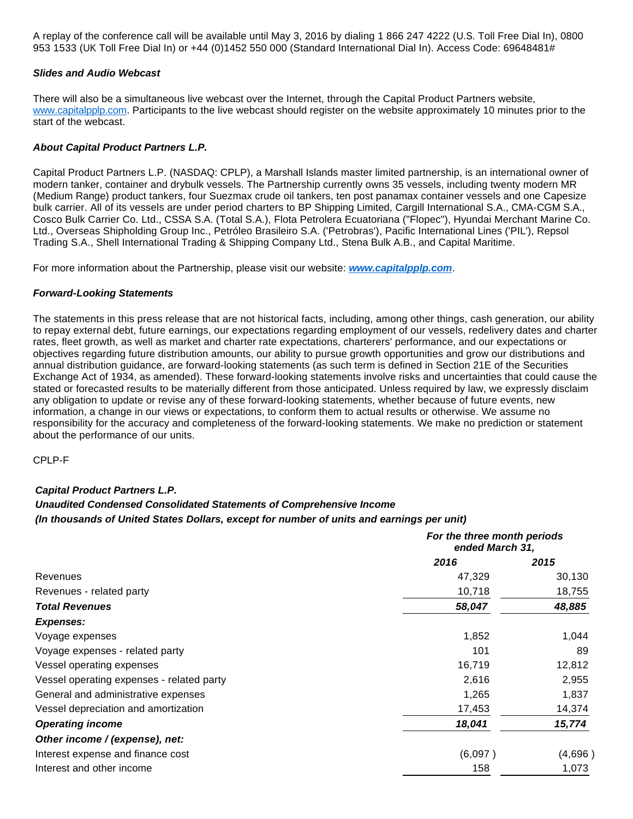A replay of the conference call will be available until May 3, 2016 by dialing 1 866 247 4222 (U.S. Toll Free Dial In), 0800 953 1533 (UK Toll Free Dial In) or +44 (0)1452 550 000 (Standard International Dial In). Access Code: 69648481#

#### **Slides and Audio Webcast**

There will also be a simultaneous live webcast over the Internet, through the Capital Product Partners website, [www.capitalpplp.com.](http://www.capitalpplp.com/) Participants to the live webcast should register on the website approximately 10 minutes prior to the start of the webcast.

### **About Capital Product Partners L.P.**

Capital Product Partners L.P. (NASDAQ: CPLP), a Marshall Islands master limited partnership, is an international owner of modern tanker, container and drybulk vessels. The Partnership currently owns 35 vessels, including twenty modern MR (Medium Range) product tankers, four Suezmax crude oil tankers, ten post panamax container vessels and one Capesize bulk carrier. All of its vessels are under period charters to BP Shipping Limited, Cargill International S.A., CMA-CGM S.A., Cosco Bulk Carrier Co. Ltd., CSSA S.A. (Total S.A.), Flota Petrolera Ecuatoriana ("Flopec"), Hyundai Merchant Marine Co. Ltd., Overseas Shipholding Group Inc., Petróleo Brasileiro S.A. ('Petrobras'), Pacific International Lines ('PIL'), Repsol Trading S.A., Shell International Trading & Shipping Company Ltd., Stena Bulk A.B., and Capital Maritime.

For more information about the Partnership, please visit our website: **[www.capitalpplp.com](http://www.capitalpplp.com/)**.

#### **Forward-Looking Statements**

The statements in this press release that are not historical facts, including, among other things, cash generation, our ability to repay external debt, future earnings, our expectations regarding employment of our vessels, redelivery dates and charter rates, fleet growth, as well as market and charter rate expectations, charterers' performance, and our expectations or objectives regarding future distribution amounts, our ability to pursue growth opportunities and grow our distributions and annual distribution guidance, are forward-looking statements (as such term is defined in Section 21E of the Securities Exchange Act of 1934, as amended). These forward-looking statements involve risks and uncertainties that could cause the stated or forecasted results to be materially different from those anticipated. Unless required by law, we expressly disclaim any obligation to update or revise any of these forward-looking statements, whether because of future events, new information, a change in our views or expectations, to conform them to actual results or otherwise. We assume no responsibility for the accuracy and completeness of the forward-looking statements. We make no prediction or statement about the performance of our units.

CPLP-F

#### **Capital Product Partners L.P.**

# **Unaudited Condensed Consolidated Statements of Comprehensive Income**

#### **(In thousands of United States Dollars, except for number of units and earnings per unit)**

|                                           | For the three month periods<br>ended March 31, |         |
|-------------------------------------------|------------------------------------------------|---------|
|                                           | 2016                                           | 2015    |
| Revenues                                  | 47,329                                         | 30,130  |
| Revenues - related party                  | 10,718                                         | 18,755  |
| <b>Total Revenues</b>                     | 58,047                                         | 48,885  |
| <b>Expenses:</b>                          |                                                |         |
| Voyage expenses                           | 1,852                                          | 1,044   |
| Voyage expenses - related party           | 101                                            | 89      |
| Vessel operating expenses                 | 16,719                                         | 12,812  |
| Vessel operating expenses - related party | 2,616                                          | 2,955   |
| General and administrative expenses       | 1,265                                          | 1,837   |
| Vessel depreciation and amortization      | 17,453                                         | 14,374  |
| <b>Operating income</b>                   | 18,041                                         | 15,774  |
| Other income / (expense), net:            |                                                |         |
| Interest expense and finance cost         | (6,097)                                        | (4,696) |
| Interest and other income                 | 158                                            | 1,073   |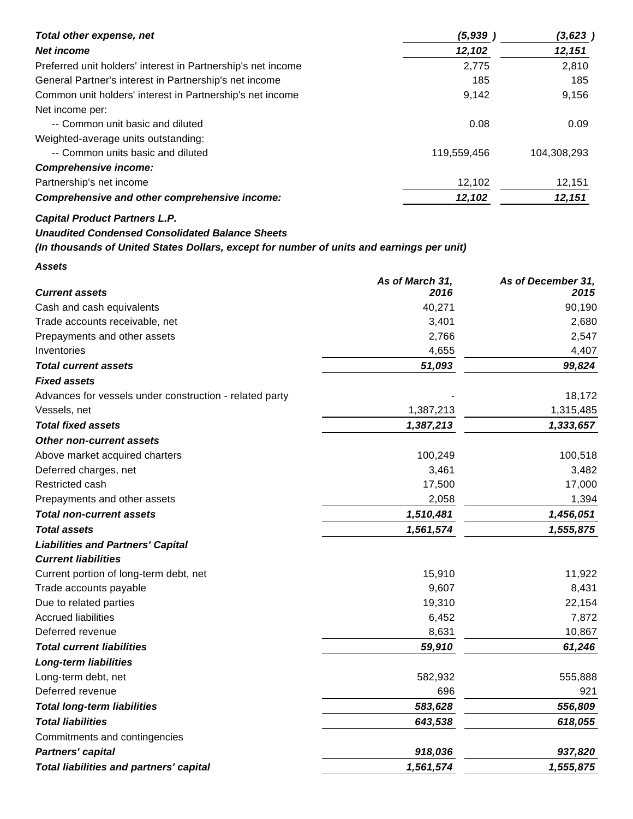| Total other expense, net                                                                  | (5, 939)        | (3, 623)           |
|-------------------------------------------------------------------------------------------|-----------------|--------------------|
| <b>Net income</b>                                                                         | 12,102          | 12,151             |
| Preferred unit holders' interest in Partnership's net income                              | 2,775           | 2,810              |
| General Partner's interest in Partnership's net income                                    |                 | 185<br>185         |
| Common unit holders' interest in Partnership's net income                                 | 9,142           | 9,156              |
| Net income per:                                                                           |                 |                    |
| -- Common unit basic and diluted                                                          | 0.08            | 0.09               |
| Weighted-average units outstanding:                                                       |                 |                    |
| -- Common units basic and diluted                                                         | 119,559,456     | 104,308,293        |
| <b>Comprehensive income:</b>                                                              |                 |                    |
| Partnership's net income                                                                  | 12,102          | 12,151             |
| Comprehensive and other comprehensive income:                                             | 12,102          | 12,151             |
| <b>Capital Product Partners L.P.</b>                                                      |                 |                    |
| <b>Unaudited Condensed Consolidated Balance Sheets</b>                                    |                 |                    |
| (In thousands of United States Dollars, except for number of units and earnings per unit) |                 |                    |
| <b>Assets</b>                                                                             |                 |                    |
|                                                                                           | As of March 31, | As of December 31, |
| <b>Current assets</b>                                                                     | 2016            | 2015               |
| Cash and cash equivalents                                                                 | 40,271          | 90,190             |
| Trade accounts receivable, net                                                            | 3,401           | 2,680              |
| Prepayments and other assets                                                              | 2,766           | 2,547              |
| Inventories                                                                               | 4,655           | 4,407              |
| <b>Total current assets</b>                                                               | 51,093          | 99,824             |
| <b>Fixed assets</b>                                                                       |                 |                    |
| Advances for vessels under construction - related party                                   |                 | 18,172             |
| Vessels, net                                                                              | 1,387,213       | 1,315,485          |
| <b>Total fixed assets</b>                                                                 | 1,387,213       | 1,333,657          |
| <b>Other non-current assets</b>                                                           |                 |                    |
| Above market acquired charters                                                            | 100,249         | 100,518            |
| Deferred charges, net                                                                     | 3,461           | 3,482              |
| Restricted cash                                                                           | 17,500          | 17,000             |
| Prepayments and other assets                                                              | 2,058           | 1,394              |
| <b>Total non-current assets</b>                                                           | 1,510,481       | 1,456,051          |
| <b>Total assets</b>                                                                       | 1,561,574       | 1,555,875          |
| <b>Liabilities and Partners' Capital</b>                                                  |                 |                    |
| <b>Current liabilities</b>                                                                |                 |                    |
| Current portion of long-term debt, net                                                    | 15,910          | 11,922             |
| Trade accounts payable                                                                    | 9,607           | 8,431              |
| Due to related parties                                                                    | 19,310          | 22,154             |
| <b>Accrued liabilities</b>                                                                | 6,452           | 7,872              |
| Deferred revenue                                                                          | 8,631           | 10,867             |
| <b>Total current liabilities</b>                                                          | 59,910          | 61,246             |
| <b>Long-term liabilities</b>                                                              |                 |                    |
| Long-term debt, net                                                                       | 582,932         | 555,888            |
| Deferred revenue                                                                          | 696             | 921                |
| <b>Total long-term liabilities</b>                                                        | 583,628         | 556,809            |
| <b>Total liabilities</b>                                                                  | 643,538         | 618,055            |
| Commitments and contingencies                                                             |                 |                    |
| <b>Partners' capital</b>                                                                  | 918,036         | 937,820            |
| <b>Total liabilities and partners' capital</b>                                            | 1,561,574       | 1,555,875          |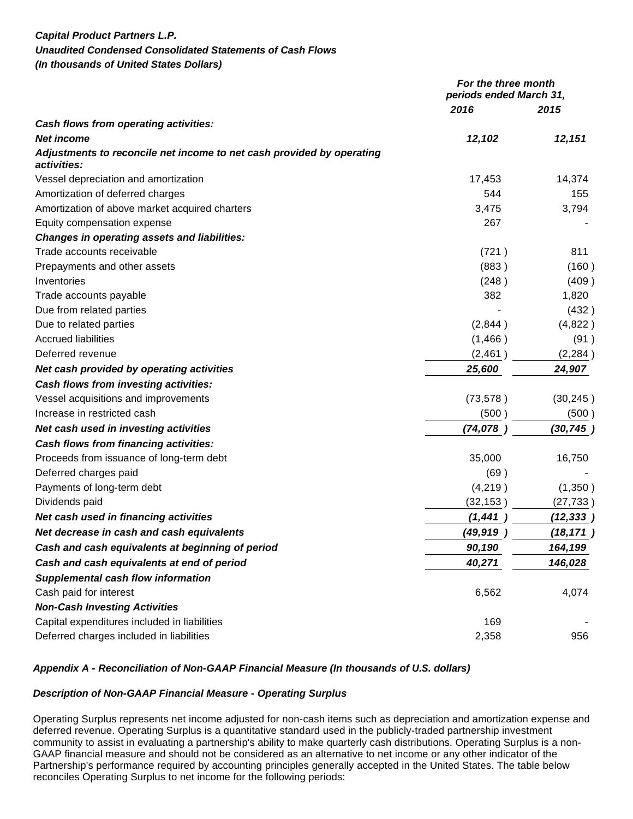# **Capital Product Partners L.P. Unaudited Condensed Consolidated Statements of Cash Flows (In thousands of United States Dollars)**

|                                                                                      | For the three month<br>periods ended March 31, |           |
|--------------------------------------------------------------------------------------|------------------------------------------------|-----------|
|                                                                                      | 2016                                           | 2015      |
| Cash flows from operating activities:                                                |                                                |           |
| <b>Net income</b>                                                                    | 12,102                                         | 12,151    |
| Adjustments to reconcile net income to net cash provided by operating<br>activities: |                                                |           |
| Vessel depreciation and amortization                                                 | 17,453                                         | 14,374    |
| Amortization of deferred charges                                                     | 544                                            | 155       |
| Amortization of above market acquired charters                                       | 3,475                                          | 3,794     |
| Equity compensation expense                                                          | 267                                            |           |
| <b>Changes in operating assets and liabilities:</b>                                  |                                                |           |
| Trade accounts receivable                                                            | (721)                                          | 811       |
| Prepayments and other assets                                                         | (883)                                          | (160)     |
| Inventories                                                                          | (248)                                          | (409)     |
| Trade accounts payable                                                               | 382                                            | 1,820     |
| Due from related parties                                                             |                                                | (432)     |
| Due to related parties                                                               | (2,844)                                        | (4,822)   |
| <b>Accrued liabilities</b>                                                           | (1,466)                                        | (91)      |
| Deferred revenue                                                                     | (2,461)                                        | (2, 284)  |
| Net cash provided by operating activities                                            | 25,600                                         | 24,907    |
| Cash flows from investing activities:                                                |                                                |           |
| Vessel acquisitions and improvements                                                 | (73, 578)                                      | (30, 245) |
| Increase in restricted cash                                                          | (500                                           | (500)     |
| Net cash used in investing activities                                                | (74, 078)                                      | (30, 745) |
| Cash flows from financing activities:                                                |                                                |           |
| Proceeds from issuance of long-term debt                                             | 35,000                                         | 16,750    |
| Deferred charges paid                                                                | (69)                                           |           |
| Payments of long-term debt                                                           | (4,219)                                        | (1,350)   |
| Dividends paid                                                                       | (32, 153)                                      | (27, 733) |
| Net cash used in financing activities                                                | (1, 441)                                       | (12, 333) |
| Net decrease in cash and cash equivalents                                            | (49,919                                        | (18, 171) |
| Cash and cash equivalents at beginning of period                                     | 90,190                                         | 164,199   |
| Cash and cash equivalents at end of period                                           | 40,271                                         | 146,028   |
| <b>Supplemental cash flow information</b>                                            |                                                |           |
| Cash paid for interest                                                               | 6,562                                          | 4,074     |
| <b>Non-Cash Investing Activities</b>                                                 |                                                |           |
| Capital expenditures included in liabilities                                         | 169                                            |           |
| Deferred charges included in liabilities                                             | 2,358                                          | 956       |

# **Appendix A - Reconciliation of Non-GAAP Financial Measure (In thousands of U.S. dollars)**

# **Description of Non-GAAP Financial Measure - Operating Surplus**

Operating Surplus represents net income adjusted for non-cash items such as depreciation and amortization expense and deferred revenue. Operating Surplus is a quantitative standard used in the publicly-traded partnership investment community to assist in evaluating a partnership's ability to make quarterly cash distributions. Operating Surplus is a non-GAAP financial measure and should not be considered as an alternative to net income or any other indicator of the Partnership's performance required by accounting principles generally accepted in the United States. The table below reconciles Operating Surplus to net income for the following periods: